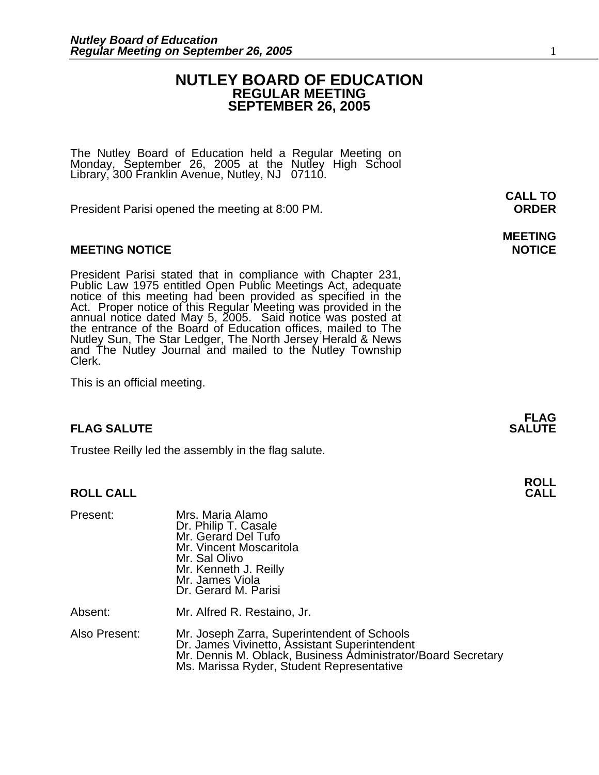### **NUTLEY BOARD OF EDUCATION REGULAR MEETING SEPTEMBER 26, 2005**

The Nutley Board of Education held a Regular Meeting on Monday, September 26, 2005 at the Nutley High School Library, 300 Franklin Avenue, Nutley, NJ 07110.

President Parisi opened the meeting at 8:00 PM. **ORDER**

### **MEETING NOTICE NOTICE AND RESERVE ASSESS**

President Parisi stated that in compliance with Chapter 231,<br>Public Law 1975 entitled Open Public Meetings Act, adequate<br>notice of this meeting had been provided as specified in the<br>Act. Proper notice of this Regular Meeti annual notice dated May 5, 2005. Said notice was posted at<br>the entrance of the Board of Education offices, mailed to The Nutley Sun, The Star Ledger, The North Jersey Herald & News and The Nutley Journal and mailed to the Nutley Township Clerk.

This is an official meeting.

### **FLAG SALUTE SALUTE SALUTE**

Trustee Reilly led the assembly in the flag salute.

### **ROLL CALL**

| Present:      | Mrs. Maria Alamo<br>Dr. Philip T. Casale<br>Mr. Gerard Del Tufo<br>Mr. Vincent Moscaritola<br>Mr. Sal Olivo<br>Mr. Kenneth J. Reilly<br>Mr. James Viola<br>Dr. Gerard M. Parisi                           |
|---------------|-----------------------------------------------------------------------------------------------------------------------------------------------------------------------------------------------------------|
| Absent:       | Mr. Alfred R. Restaino, Jr.                                                                                                                                                                               |
| Also Present: | Mr. Joseph Zarra, Superintendent of Schools<br>Dr. James Vivinetto, Assistant Superintendent<br>Mr. Dennis M. Oblack, Business Administrator/Board Secretary<br>Ms. Marissa Ryder, Student Representative |

**CALL TO** 

# **MEETING**

**FLAG** 

**ROLL**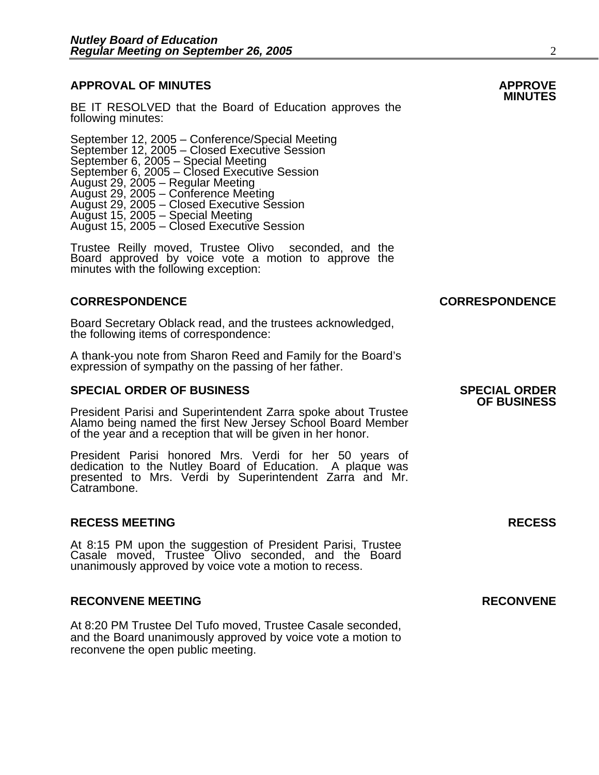## **APPROVAL OF MINUTES APPROVE**

BE IT RESOLVED that the Board of Education approves the following minutes:

 September 12, 2005 – Conference/Special Meeting September 12, 2005 – Closed Executive Session September 6, 2005 – Special Meeting<br>September 6, 2005 – Closed Executive Session August 29, 2005 – Regular Meeting August 29, 2005 – Conference Meeting August 29, 2005 – Closed Executive Session August 15, 2005 – Special Meeting August 15, 2005 – Closed Executive Session

> Trustee Reilly moved, Trustee Olivo seconded, and the Board approved by voice vote a motion to approve the minutes with the following exception:

#### **CORRESPONDENCE CORRESPONDENCE**

Board Secretary Oblack read, and the trustees acknowledged, the following items of correspondence:

A thank-you note from Sharon Reed and Family for the Board's expression of sympathy on the passing of her father.

### **SPECIAL ORDER OF BUSINESS SPECIAL ORDER**

President Parisi and Superintendent Zarra spoke about Trustee Alamo being named the first New Jersey School Board Member of the year and a reception that will be given in her honor.

President Parisi honored Mrs. Verdi for her 50 years of dedication to the Nutley Board of Education. A plaque was presented to Mrs. Verdi by Superintendent Zarra and Mr. Catrambone.

#### **RECESS MEETING RECESS**

At 8:15 PM upon the suggestion of President Parisi, Trustee Casale moved, Trustee Olivo seconded, and the Board unanimously approved by voice vote a motion to recess.

#### **RECONVENE MEETING RECONVENE**

At 8:20 PM Trustee Del Tufo moved, Trustee Casale seconded, and the Board unanimously approved by voice vote a motion to reconvene the open public meeting.

**OF BUSINESS**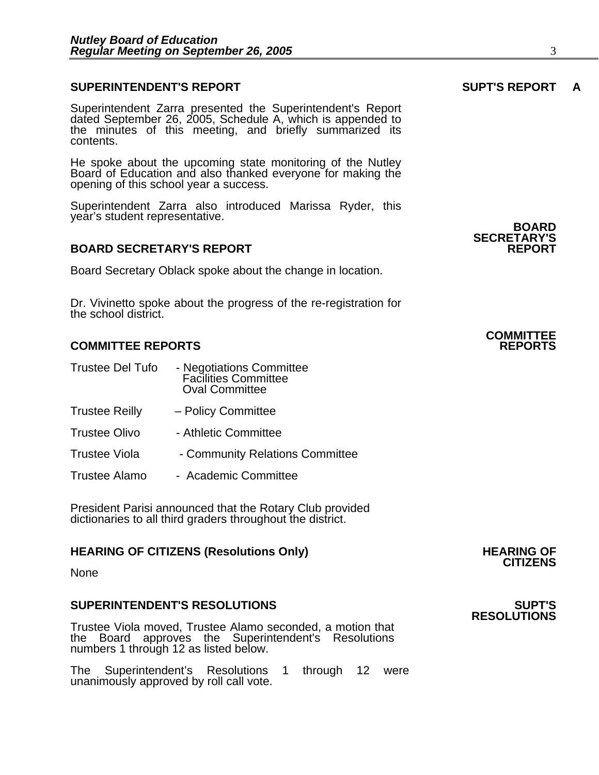### **SUPERINTENDENT'S REPORT SUPT'S REPORT A**

Superintendent Zarra presented the Superintendent's Report dated September 26, 2005, Schedule A, which is appended to the minutes of this meeting, and briefly summarized its contents.

He spoke about the upcoming state monitoring of the Nutley Board of Education and also thanked everyone for making the opening of this school year a success.

Superintendent Zarra also introduced Marissa Ryder, this year's student representative. **BOARD** 

#### **BOARD SECRETARY'S REPORT**

Board Secretary Oblack spoke about the change in location.

Dr. Vivinetto spoke about the progress of the re-registration for the school district.

### **COMMITTEE REPORTS REPORTS**

- Trustee Del Tufo Negotiations Committee Facilities Committee Oval Committee
- Trustee Reilly Policy Committee
- Trustee Olivo Athletic Committee
- Trustee Viola Community Relations Committee
- Trustee Alamo Academic Committee

President Parisi announced that the Rotary Club provided dictionaries to all third graders throughout the district.

## **HEARING OF CITIZENS (Resolutions Only) HEARING OF CITIZENS**

None

#### **SUPERINTENDENT'S RESOLUTIONS SUPT'S**

Trustee Viola moved, Trustee Alamo seconded, a motion that the Board approves the Superintendent's Resolutions numbers 1 through 12 as listed below.

The Superintendent's Resolutions 1 through 12 were unanimously approved by roll call vote.

**SECRETARY'S** 

## **COMMITTEE**

## **RESOLUTIONS**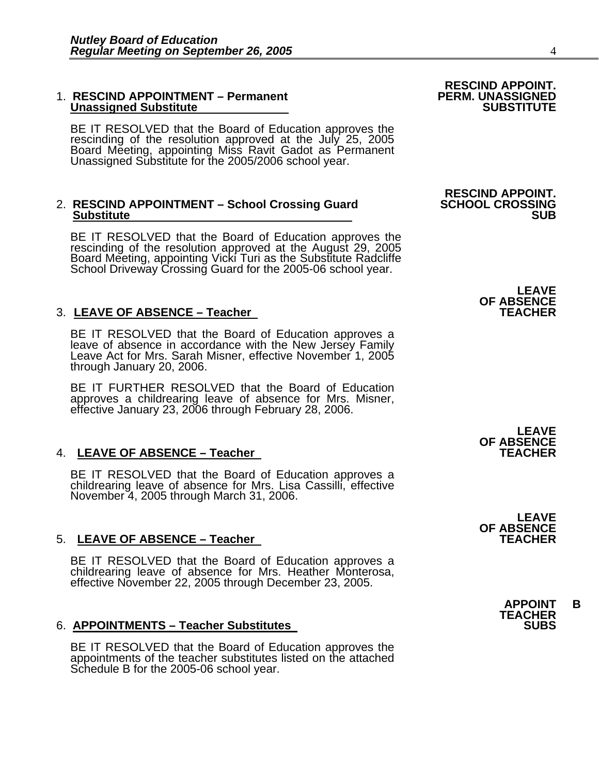#### 1. **RESCIND APPOINTMENT – Permanent** Permanent PERM. UNASSIGNED Unassigned Substitute **Unassigned Substitute**

BE IT RESOLVED that the Board of Education approves the rescinding of the resolution approved at the July 25, 2005 Board Meeting, appointing Miss Ravit Gadot as Permanent Unassigned Substitute for the 2005/2006 school year.

# 2. RESCIND APPOINTMENT – School Crossing Guard **SCHOOL CROSSING**<br>Substitute **SUB**

BE IT RESOLVED that the Board of Education approves the rescinding of the resolution approved at the August 29, 2005 Board Meeting, appointing Vicki Turi as the Substitute Radcliffe School Driveway Crossing Guard for the 2005-06 school year.

### 3. LEAVE OF ABSENCE - Teacher

BE IT RESOLVED that the Board of Education approves a leave of absence in accordance with the New Jersey Family Leave Act for Mrs. Sarah Misner, effective November 1, 2005 through January 20, 2006.

BE IT FURTHER RESOLVED that the Board of Education approves a childrearing leave of absence for Mrs. Misner, effective January 23, 2006 through February 28, 2006.

### 4. LEAVE OF ABSENCE – Teacher

BE IT RESOLVED that the Board of Education approves a childrearing leave of absence for Mrs. Lisa Cassilli, effective November 4, 2005 through March 31, 2006.

### 5. LEAVE OF ABSENCE - Teacher

BE IT RESOLVED that the Board of Education approves a childrearing leave of absence for Mrs. Heather Monterosa, effective November 22, 2005 through December 23, 2005.

### 6. **APPOINTMENTS – Teacher Substitutes**

BE IT RESOLVED that the Board of Education approves the appointments of the teacher substitutes listed on the attached Schedule B for the 2005-06 school year.

**RESCIND APPOINT.** 

**RESCIND APPOINT.** 

**LEAVE OF ABSENCE** 

**LEAVE OF ABSENCE** 

**LEAVE OF ABSENCE**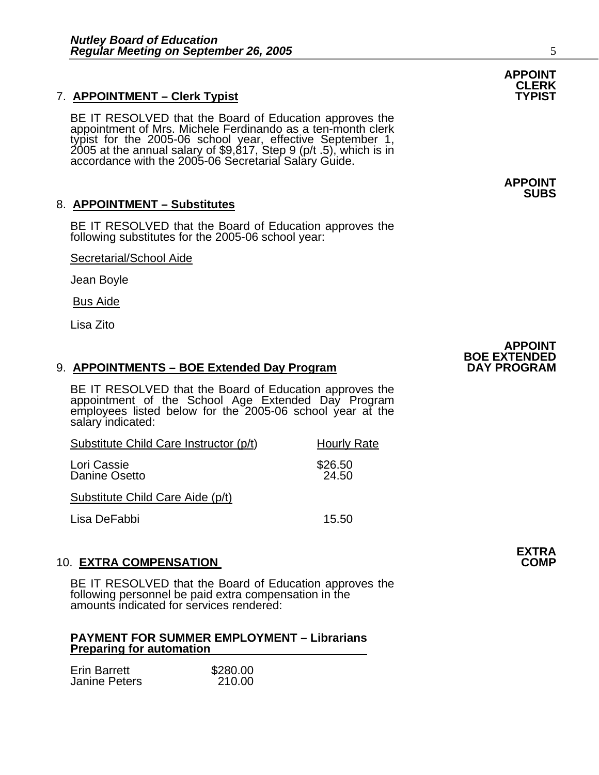## 7. **APPOINTMENT – Clerk Typist TYPIST**

BE IT RESOLVED that the Board of Education approves the appointment of Mrs. Michele Ferdinando as a ten-month clerk typist for the 2005-06 school year, effective September 1, 2005 at the annual salary of \$9,817, Step 9 (p/t .5), which is in<br>accordance with the 2005-06 Secretarial Salary Guide.

### 8. **APPOINTMENT – Substitutes**

BE IT RESOLVED that the Board of Education approves the following substitutes for the 2005-06 school year:

Secretarial/School Aide

Jean Boyle

Bus Aide

Lisa Zito

### 9. **APPOINTMENTS – BOE Extended Day Program**

BE IT RESOLVED that the Board of Education approves the appointment of the School Age Extended Day Program employees listed below for the 2005-06 school year at the salary indicated:

| Substitute Child Care Instructor (p/t) | <b>Hourly Rate</b> |  |
|----------------------------------------|--------------------|--|
| Lori Cassie<br>Danine Osetto           | \$26.50<br>24.50   |  |
| Substitute Child Care Aide (p/t)       |                    |  |

Lisa DeFabbi 15.50

### 10. **EXTRA COMPENSATION COMP ISSUES AND RESERVE THE RESERVE TO A LIGA COMP**

BE IT RESOLVED that the Board of Education approves the following personnel be paid extra compensation in the amounts indicated for services rendered:

#### **PAYMENT FOR SUMMER EMPLOYMENT – Librarians Preparing for automation**

| <b>Erin Barrett</b>  | \$280.00 |
|----------------------|----------|
| <b>Janine Peters</b> | 210.00   |

## **APPOINT CLERK**

**APPOINT SUBS** 



**EXTRA**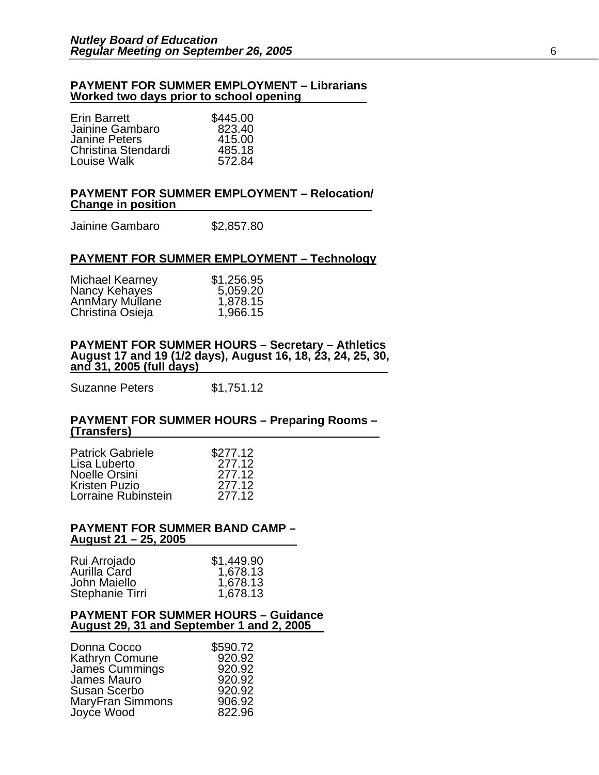#### **PAYMENT FOR SUMMER EMPLOYMENT – Librarians Worked two days prior to school opening**

| <b>Erin Barrett</b> | \$445.00 |
|---------------------|----------|
| Jainine Gambaro     | 823.40   |
| Janine Peters       | 415.00   |
| Christina Stendardi | 485.18   |
| Louise Walk         | 572.84   |

#### **PAYMENT FOR SUMMER EMPLOYMENT – Relocation/ Change in position**

| Jainine Gambaro | \$2,857.80 |
|-----------------|------------|
|-----------------|------------|

#### **PAYMENT FOR SUMMER EMPLOYMENT – Technology**

| Michael Kearney  | \$1,256.95 |
|------------------|------------|
| Nancy Kehayes    | 5,059.20   |
| AnnMary Mullane  | 1,878.15   |
| Christina Osieja | 1,966.15   |

## **PAYMENT FOR SUMMER HOURS – Secretary – Athletics August 17 and 19 (1/2 days), August 16, 18, 23, 24, 25, 30, and 31, 2005 (full days)**

Suzanne Peters \$1,751.12

#### **PAYMENT FOR SUMMER HOURS – Preparing Rooms – (Transfers)**

| <b>Patrick Gabriele</b> | \$277.12 |
|-------------------------|----------|
| Lisa Luberto            | 277.12   |
| Noelle Orsini           | 277.12   |
| Kristen Puzio           | 277.12   |
| Lorraine Rubinstein     | 277.12   |

#### **PAYMENT FOR SUMMER BAND CAMP – August 21 – 25, 2005**

| Rui Arrojado    | \$1,449.90 |
|-----------------|------------|
| Aurilla Card    | 1,678.13   |
| John Maiello    | 1,678.13   |
| Stephanie Tirri | 1,678.13   |

#### **PAYMENT FOR SUMMER HOURS – Guidance August 29, 31 and September 1 and 2, 2005**

| Donna Cocco             | \$590.72 |
|-------------------------|----------|
| Kathryn Comune          | 920.92   |
| James Cummings          | 920.92   |
| James Mauro             | 920.92   |
| <b>Susan Scerbo</b>     | 920.92   |
| <b>MaryFran Simmons</b> | 906.92   |
| Joyce Wood              | 822.96   |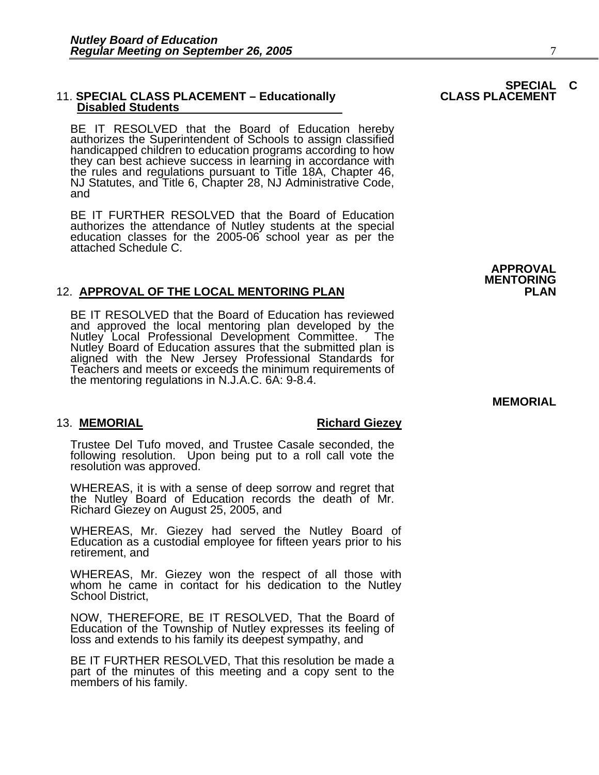#### **11. SPECIAL CLASS PLACEMENT - Educationally Disabled Students**

BE IT RESOLVED that the Board of Education hereby authorizes the Superintendent of Schools to assign classified handicapped children to education programs according to how they can best achieve success in learning in accordance with the rules and regulations pursuant to Title 18A, Chapter 46, NJ Statutes, and Title 6, Chapter 28, NJ Administrative Code, and

BE IT FURTHER RESOLVED that the Board of Education authorizes the attendance of Nutley students at the special education classes for the 2005-06 school year as per the attached Schedule C.

#### 12. **APPROVAL OF THE LOCAL MENTORING PLAN**

BE IT RESOLVED that the Board of Education has reviewed and approved the local mentoring plan developed by the and approved the local mentoring plan developed by the<br>Nutley Local Professional Development Committee. The<br>Nutley Board of Education assures that the submitted plan is<br>aligned with the New Jersey Professional Standards fo Teachers and meets or exceeds the minimum requirements of the mentoring regulations in N.J.A.C. 6A: 9-8.4.

#### 13. **MEMORIAL Richard Giezey**

Trustee Del Tufo moved, and Trustee Casale seconded, the following resolution. Upon being put to a roll call vote the resolution was approved.

WHEREAS, it is with a sense of deep sorrow and regret that the Nutley Board of Education records the death of Mr. Richard Giezey on August 25, 2005, and

WHEREAS, Mr. Giezey had served the Nutley Board of Education as a custodial employee for fifteen years prior to his retirement, and

WHEREAS, Mr. Giezey won the respect of all those with whom he came in contact for his dedication to the Nutley School District,

NOW, THEREFORE, BE IT RESOLVED, That the Board of Education of the Township of Nutley expresses its feeling of loss and extends to his family its deepest sympathy, and

BE IT FURTHER RESOLVED, That this resolution be made a part of the minutes of this meeting and a copy sent to the members of his family.

# **SPECIAL C<br>CLASS PLACEMENT**

**APPROVAL MENTORING** 

#### **MEMORIAL**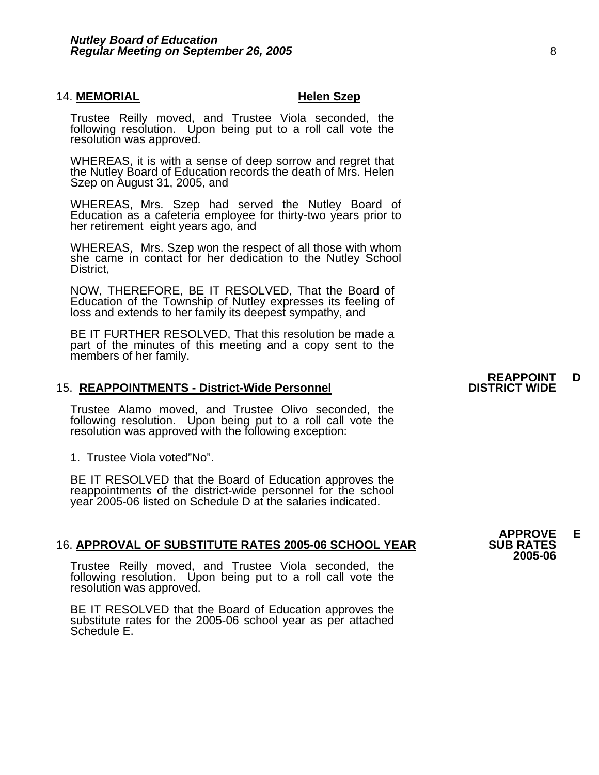#### 14. **MEMORIAL Helen Szep**

Trustee Reilly moved, and Trustee Viola seconded, the following resolution. Upon being put to a roll call vote the resolution was approved.

WHEREAS, it is with a sense of deep sorrow and regret that the Nutley Board of Education records the death of Mrs. Helen Szep on August 31, 2005, and

WHEREAS, Mrs. Szep had served the Nutley Board of Education as a cafeteria employee for thirty-two years prior to her retirement eight years ago, and

WHEREAS, Mrs. Szep won the respect of all those with whom she came in contact for her dedication to the Nutley School District,

NOW, THEREFORE, BE IT RESOLVED, That the Board of Education of the Township of Nutley expresses its feeling of loss and extends to her family its deepest sympathy, and

BE IT FURTHER RESOLVED, That this resolution be made a part of the minutes of this meeting and a copy sent to the members of her family.

#### 15. **REAPPOINTMENTS - District-Wide Personnel**

Trustee Alamo moved, and Trustee Olivo seconded, the following resolution. Upon being put to a roll call vote the resolution was approved with the following exception:

1. Trustee Viola voted"No".

BE IT RESOLVED that the Board of Education approves the reappointments of the district-wide personnel for the school year 2005-06 listed on Schedule D at the salaries indicated.

#### 16. APPROVAL OF SUBSTITUTE RATES 2005-06 SCHOOL YEAR

Trustee Reilly moved, and Trustee Viola seconded, the following resolution. Upon being put to a roll call vote the resolution was approved.

BE IT RESOLVED that the Board of Education approves the substitute rates for the 2005-06 school year as per attached Schedule E.

## **REAPPOINT D<br>DISTRICT WIDE**

**APPROVE E 2005-06**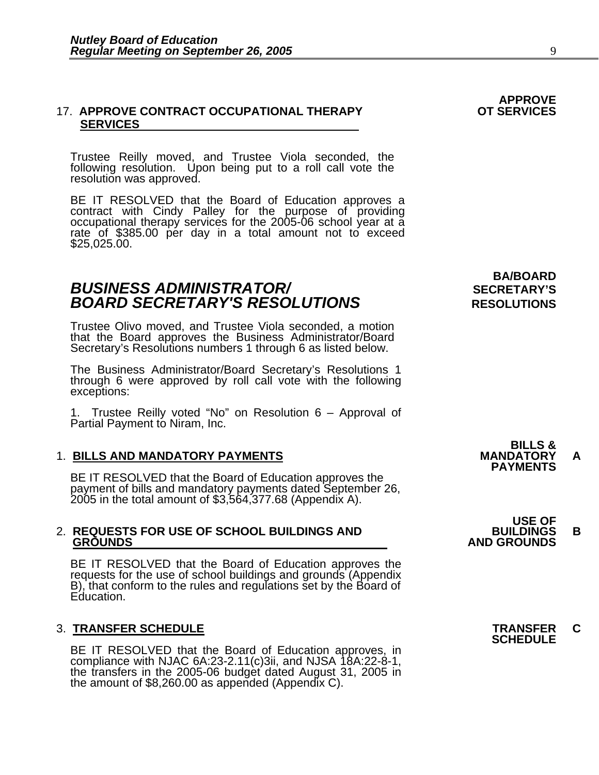#### 17. APPROVE CONTRACT OCCUPATIONAL THERAPY **SERVICES**

Trustee Reilly moved, and Trustee Viola seconded, the following resolution. Upon being put to a roll call vote the resolution was approved.

BE IT RESOLVED that the Board of Education approves a contract with Cindy Palley for the purpose of providing occupational therapy services for the 2005-06 school year at a rate of \$385.00 per day in a total amount not to exceed<br>\$25,025.00.

## **BUSINESS ADMINISTRATOR/** *BUSINESS ADMINISTRATOR/* **BOARD SECRETARY'S RESOLUTIONS** RESOLUTIONS

Trustee Olivo moved, and Trustee Viola seconded, a motion that the Board approves the Business Administrator/Board Secretary's Resolutions numbers 1 through 6 as listed below.

The Business Administrator/Board Secretary's Resolutions 1 through 6 were approved by roll call vote with the following exceptions:

1. Trustee Reilly voted "No" on Resolution 6 – Approval of Partial Payment to Niram, Inc.

1. BILLS AND MANDATORY PAYMENTS<br>BE IT RESOLVED that the Board of Education approves the **MANDATORY** PAYMENTS payment of bills and mandatory payments dated September 26, 2005 in the total amount of \$3,564,377.68 (Appendix A).

## 2. **REQUESTS FOR USE OF SCHOOL BUILDINGS AND BUILDINGS B**

BE IT RESOLVED that the Board of Education approves the requests for the use of school buildings and grounds (Appendix B), that conform to the rules and regulations set by the Board of Education.

## 3. **TRANSFER SCHEDULE TRANSFER C SCHEDULE**

BE IT RESOLVED that the Board of Education approves, in compliance with NJAC 6A:23-2.11(c)3ii, and NJSA 18A:22-8-1, the transfers in the 2005-06 budget dated August 31, 2005 in the amount of \$8,260.00 as appended (Appendix

**BA/BOARD** 

**APPROVE** 

 **USE OF GROUNDS AND GROUNDS**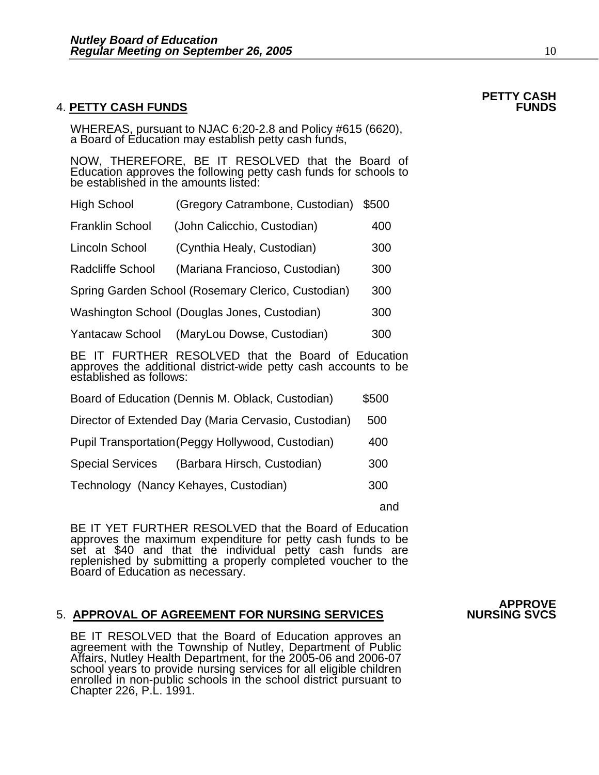#### **4. PETTY CASH FUNDS**

WHEREAS, pursuant to NJAC 6:20-2.8 and Policy #615 (6620), a Board of Education may establish petty cash funds,

NOW, THEREFORE, BE IT RESOLVED that the Board of Education approves the following petty cash funds for schools to be established in the amounts listed:

| <b>High School</b>                                                                                                       | (Gregory Catrambone, Custodian)              | \$500 |  |
|--------------------------------------------------------------------------------------------------------------------------|----------------------------------------------|-------|--|
| <b>Franklin School</b>                                                                                                   | (John Calicchio, Custodian)                  | 400   |  |
| Lincoln School                                                                                                           | (Cynthia Healy, Custodian)                   | 300   |  |
| Radcliffe School                                                                                                         | (Mariana Francioso, Custodian)               | 300   |  |
| Spring Garden School (Rosemary Clerico, Custodian)<br>300                                                                |                                              |       |  |
|                                                                                                                          | Washington School (Douglas Jones, Custodian) | 300   |  |
| <b>Yantacaw School</b>                                                                                                   | (MaryLou Dowse, Custodian)                   | 300   |  |
| FURTHER RESOLVED that the Board of Education<br>BE IL<br>approved the additional district wide petty each accounts to be |                                              |       |  |

approves the additional district-wide petty cash accounts to be established as follows:

| Board of Education (Dennis M. Oblack, Custodian)     |     |  |
|------------------------------------------------------|-----|--|
| Director of Extended Day (Maria Cervasio, Custodian) |     |  |
| Pupil Transportation (Peggy Hollywood, Custodian)    |     |  |
| Special Services<br>(Barbara Hirsch, Custodian)      | 300 |  |
| Technology (Nancy Kehayes, Custodian)                | 300 |  |

and the control of the control of the control of the control of the control of the control of the control of t

BE IT YET FURTHER RESOLVED that the Board of Education approves the maximum expenditure for petty cash funds to be set at \$40 and that the individual petty cash funds are replenished by submitting a properly completed voucher to the Board of Education as necessary.

#### **5. APPROVAL OF AGREEMENT FOR NURSING SERVICES**

BE IT RESOLVED that the Board of Education approves an agreement with the Township of Nutley, Department of Public Affairs, Nutley Health Department, for the 2005-06 and 2006-07 school years to provide nursing services for all eligible children enrolled in non-public schools in the school district pursuant to Chapter 226, P.L. 1991.

## **APPROVE**

# **PETTY CASH**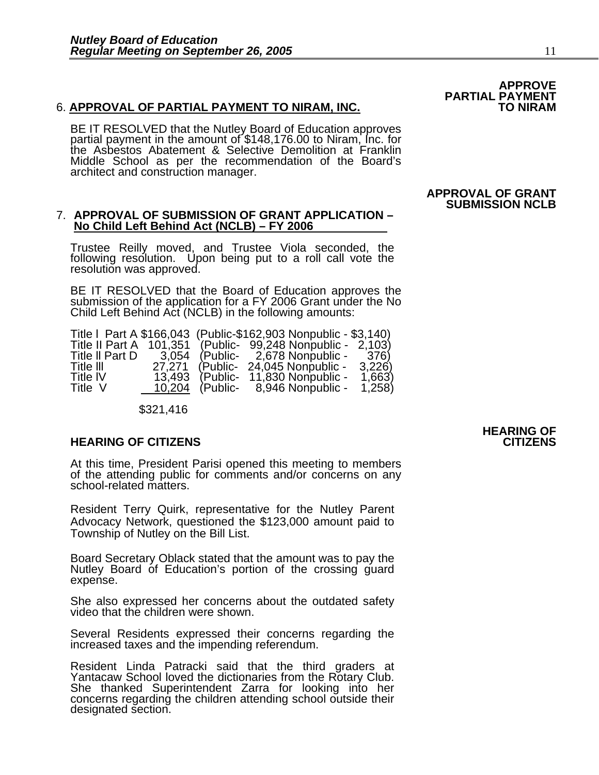#### 6. **APPROVAL OF PARTIAL PAYMENT TO NIRAM, INC.**

BE IT RESOLVED that the Nutley Board of Education approves partial payment in the amount of \$148,176.00 to Niram, Inc. for the Asbestos Abatement & Selective Demolition at Franklin Middle School as per the recommendation of the Board's architect and construction manager.

#### 7. **APPROVAL OF SUBMISSION OF GRANT APPLICATION – No Child Left Behind Act (NCLB) – FY 2006**

Trustee Reilly moved, and Trustee Viola seconded, the following resolution. Upon being put to a roll call vote the resolution was approved.

BE IT RESOLVED that the Board of Education approves the submission of the application for a FY 2006 Grant under the No Child Left Behind Act (NCLB) in the following amounts:

| Title   Part A \$166,043 (Public-\$162,903 Nonpublic - \$3,140) |         |          |                                    |        |
|-----------------------------------------------------------------|---------|----------|------------------------------------|--------|
| Title II Part A                                                 | 101,351 |          | (Public- 99,248 Nonpublic - 2,103) |        |
| Title II Part D                                                 | 3.054   |          | (Public- 2,678 Nonpublic -         | 376)   |
| Title III                                                       | 27.271  | (Public- | 24,045 Nonpublic -                 | 3,226  |
| <b>Title IV</b>                                                 | 13,493  | (Public- | 11,830 Nonpublic -                 | 1,663) |
| Title V                                                         | 10,204  | (Public- | 8,946 Nonpublic -                  | 1,258  |

\$321,416

#### **HEARING OF CITIZENS CITIZENS**

At this time, President Parisi opened this meeting to members of the attending public for comments and/or concerns on any school-related matters.

Resident Terry Quirk, representative for the Nutley Parent Advocacy Network, questioned the \$123,000 amount paid to Township of Nutley on the Bill List.

Board Secretary Oblack stated that the amount was to pay the Nutley Board of Education's portion of the crossing guard expense.

She also expressed her concerns about the outdated safety video that the children were shown.

Several Residents expressed their concerns regarding the increased taxes and the impending referendum.

Resident Linda Patracki said that the third graders at Yantacaw School loved the dictionaries from the Rotary Club. She thanked Superintendent Zarra for looking into her concerns regarding the children attending school outside their designated section.

# **HEARING OF**

# **APPROVE PARTIAL PAYMENT**

#### **APPROVAL OF GRANT SUBMISSION NCLB**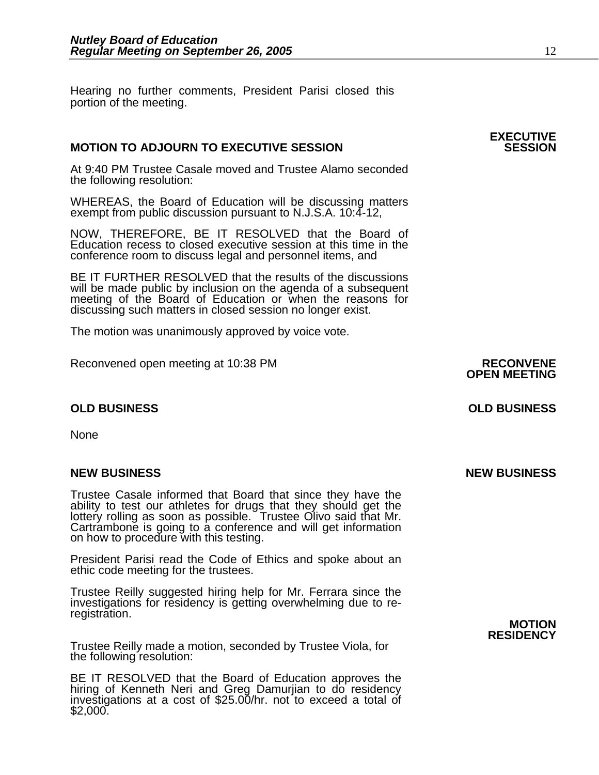Hearing no further comments, President Parisi closed this portion of the meeting.

### **MOTION TO ADJOURN TO EXECUTIVE SESSION**

At 9:40 PM Trustee Casale moved and Trustee Alamo seconded the following resolution:

WHEREAS, the Board of Education will be discussing matters exempt from public discussion pursuant to N.J.S.A. 10:4-12,

NOW, THEREFORE, BE IT RESOLVED that the Board of Education recess to closed executive session at this time in the conference room to discuss legal and personnel items, and

BE IT FURTHER RESOLVED that the results of the discussions will be made public by inclusion on the agenda of a subsequent meeting of the Board of Education or when the reasons for discussing such matters in closed session no longer exist.

The motion was unanimously approved by voice vote.

Reconvened open meeting at 10:38 PM **RECONVENE OPEN MEETING** 

#### **OLD BUSINESS OLD BUSINESS**

None

#### **NEW BUSINESS NEW BUSINESS**

Trustee Casale informed that Board that since they have the ability to test our athletes for drugs that they should get the lottery rolling as soon as possible. Trustee Olivo said that Mr. Cartrambone is going to a conference and will get information on how to procedure with this testing.

President Parisi read the Code of Ethics and spoke about an ethic code meeting for the trustees.

Trustee Reilly suggested hiring help for Mr. Ferrara since the investigations for residency is getting overwhelming due to re- registration. **MOTION** 

Trustee Reilly made a motion, seconded by Trustee Viola, for the following resolution:

BE IT RESOLVED that the Board of Education approves the hiring of Kenneth Neri and Greg Damurjian to do residency investigations at a cost of \$25.00/hr. not to exceed a total of \$2,000.

**RESIDENCY**